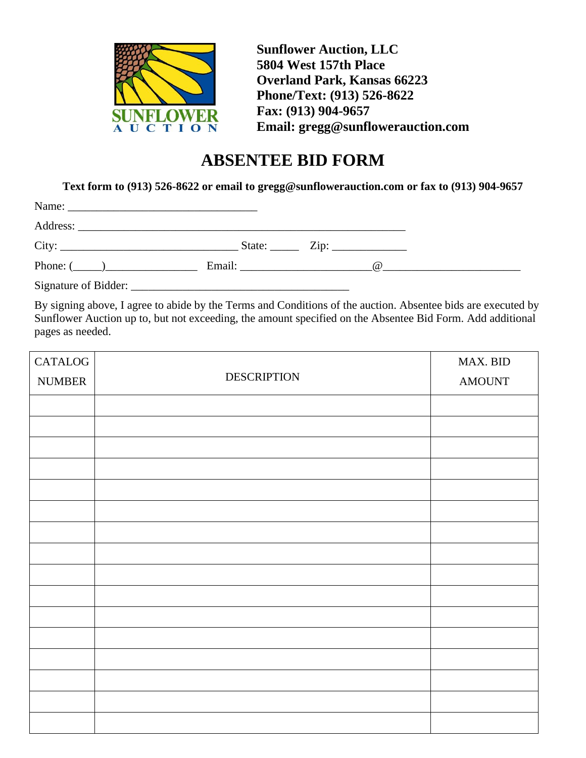

**Sunflower Auction, LLC 5804 West 157th Place Overland Park, Kansas 66223 Phone/Text: (913) 526-8622 Fax: (913) 904-9657 Email: gregg@sunflowerauction.com**

## **ABSENTEE BID FORM**

**Text form to (913) 526-8622 or email to gregg@sunflowerauction.com or fax to (913) 904-9657**

| City:           | State: $\qquad \qquad \text{Zip:} \qquad \qquad \qquad$ |     |
|-----------------|---------------------------------------------------------|-----|
| Phone: $(\_\_)$ | Email: Email:                                           | (a) |

Signature of Bidder: \_\_\_\_\_\_\_\_\_\_\_\_\_\_\_\_\_\_\_\_\_\_\_\_\_\_\_\_\_\_\_\_\_\_\_\_\_\_

By signing above, I agree to abide by the Terms and Conditions of the auction. Absentee bids are executed by Sunflower Auction up to, but not exceeding, the amount specified on the Absentee Bid Form. Add additional pages as needed.

| <b>CATALOG</b> | <b>DESCRIPTION</b> | MAX. BID      |
|----------------|--------------------|---------------|
| <b>NUMBER</b>  |                    | <b>AMOUNT</b> |
|                |                    |               |
|                |                    |               |
|                |                    |               |
|                |                    |               |
|                |                    |               |
|                |                    |               |
|                |                    |               |
|                |                    |               |
|                |                    |               |
|                |                    |               |
|                |                    |               |
|                |                    |               |
|                |                    |               |
|                |                    |               |
|                |                    |               |
|                |                    |               |